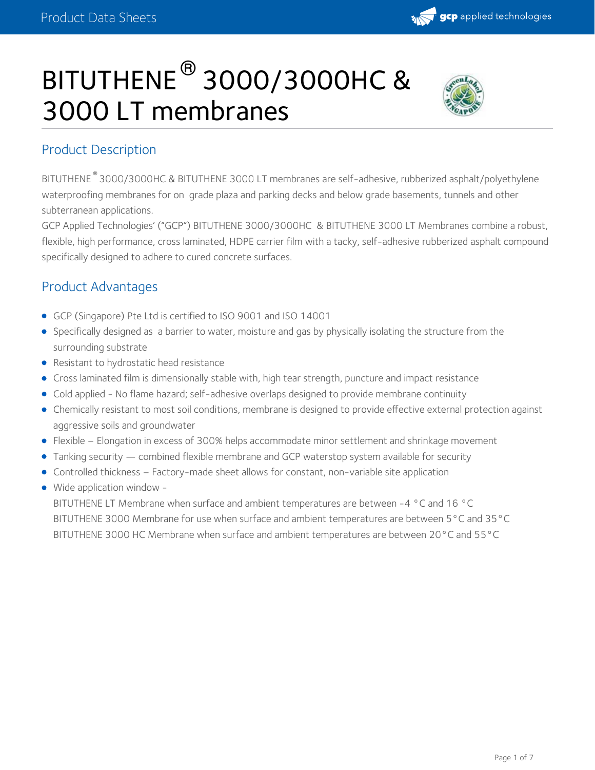

# $\mathsf{BITUTHENE}^{\circledR}\,3000/3000\mathsf{HC}\; \& \quad \mathscr{B}\,$ 3000 LT membranes



# Product Description

BITUTHENE 3000/3000HC & BITUTHENE 3000 LT membranes are self-adhesive, rubberized asphalt/polyethylene ® waterproofing membranes for on grade plaza and parking decks and below grade basements, tunnels and other subterranean applications.

GCP Applied Technologies' ("GCP") BITUTHENE 3000/3000HC & BITUTHENE 3000 LT Membranes combine a robust, flexible, high performance, cross laminated, HDPE carrier film with a tacky, self-adhesive rubberized asphalt compound specifically designed to adhere to cured concrete surfaces.

# Product Advantages

- GCP (Singapore) Pte Ltd is certified to ISO 9001 and ISO 14001
- Specifically designed as a barrier to water, moisture and gas by physically isolating the structure from the surrounding substrate
- **•** Resistant to hydrostatic head resistance
- Cross laminated film is dimensionally stable with, high tear strength, puncture and impact resistance
- Cold applied No flame hazard; self-adhesive overlaps designed to provide membrane continuity
- Chemically resistant to most soil conditions, membrane is designed to provide effective external protection against aggressive soils and groundwater
- Flexible Elongation in excess of 300% helps accommodate minor settlement and shrinkage movement
- Tanking security combined flexible membrane and GCP waterstop system available for security
- Controlled thickness Factory-made sheet allows for constant, non-variable site application
- Wide application window -

BITUTHENE LT Membrane when surface and ambient temperatures are between -4 °C and 16 °C BITUTHENE 3000 Membrane for use when surface and ambient temperatures are between 5°C and 35°C BITUTHENE 3000 HC Membrane when surface and ambient temperatures are between 20°C and 55°C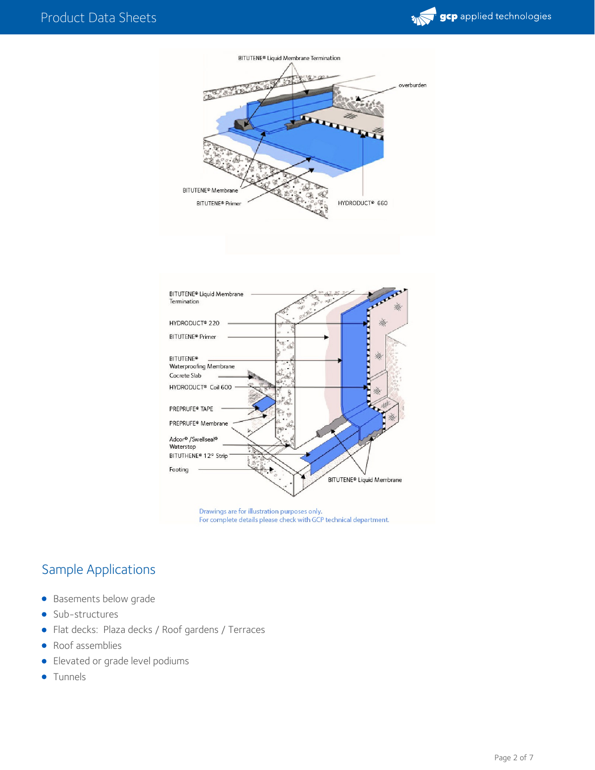



Drawings are for illustration purposes only. For complete details please check with GCP technical department.

# Sample Applications

- **•** Basements below grade
- Sub-structures  $\bullet$
- Flat decks: Plaza decks / Roof gardens / Terraces
- Roof assemblies
- Elevated or grade level podiums
- **•** Tunnels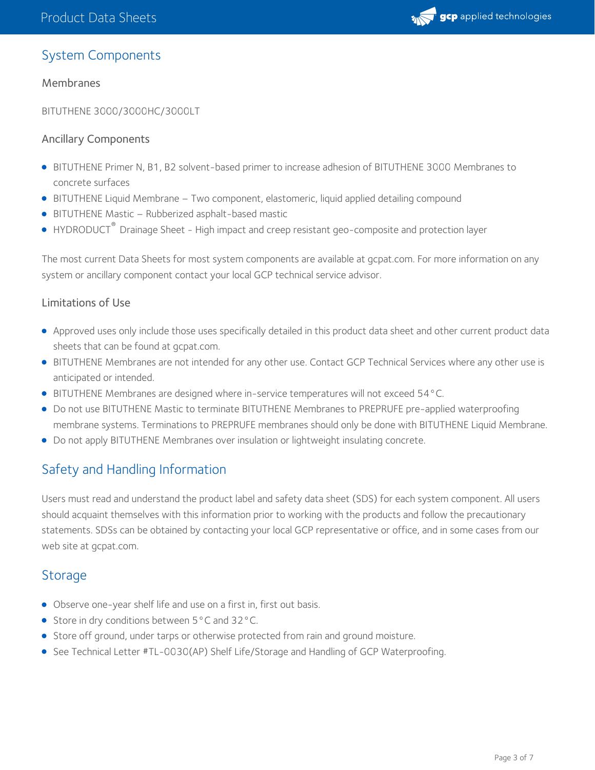

## System Components

#### Membranes

BITUTHENE 3000/3000HC/3000LT

#### Ancillary Components

- BITUTHENE Primer N, B1, B2 solvent-based primer to increase adhesion of BITUTHENE 3000 Membranes to concrete surfaces
- BITUTHENE Liquid Membrane Two component, elastomeric, liquid applied detailing compound
- BITUTHENE Mastic Rubberized asphalt-based mastic
- HYDRODUCT<sup>®</sup> Drainage Sheet High impact and creep resistant geo-composite and protection layer

The most current Data Sheets for most system components are available at gcpat.com. For more information on any system or ancillary component contact your local GCP technical service advisor.

#### Limitations of Use

- Approved uses only include those uses specifically detailed in this product data sheet and other current product data sheets that can be found at gcpat.com.
- BITUTHENE Membranes are not intended for any other use. Contact GCP Technical Services where any other use is anticipated or intended.
- BITUTHENE Membranes are designed where in-service temperatures will not exceed 54°C.
- Do not use BITUTHENE Mastic to terminate BITUTHENE Membranes to PREPRUFE pre-applied waterproofing membrane systems. Terminations to PREPRUFE membranes should only be done with BITUTHENE Liquid Membrane.
- Do not apply BITUTHENE Membranes over insulation or lightweight insulating concrete.

# Safety and Handling Information

Users must read and understand the product label and safety data sheet (SDS) for each system component. All users should acquaint themselves with this information prior to working with the products and follow the precautionary statements. SDSs can be obtained by contacting your local GCP representative or office, and in some cases from our web site at gcpat.com.

## **Storage**

- Observe one-year shelf life and use on a first in, first out basis.
- Store in dry conditions between 5°C and 32°C.
- Store off ground, under tarps or otherwise protected from rain and ground moisture.
- See Technical Letter #TL-0030(AP) Shelf Life/Storage and Handling of GCP Waterproofing.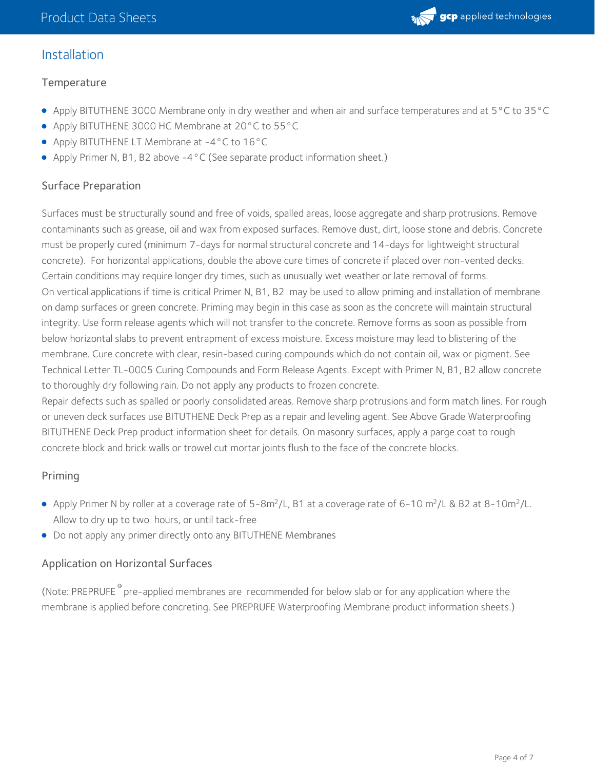

## Installation

#### **Temperature**

- Apply BITUTHENE 3000 Membrane only in dry weather and when air and surface temperatures and at 5°C to 35°C
- Apply BITUTHENE 3000 HC Membrane at 20°C to 55°C
- Apply BITUTHENE LT Membrane at -4°C to 16°C
- Apply Primer N, B1, B2 above -4°C (See separate product information sheet.)

#### Surface Preparation

Surfaces must be structurally sound and free of voids, spalled areas, loose aggregate and sharp protrusions. Remove contaminants such as grease, oil and wax from exposed surfaces. Remove dust, dirt, loose stone and debris. Concrete must be properly cured (minimum 7-days for normal structural concrete and 14-days for lightweight structural concrete). For horizontal applications, double the above cure times of concrete if placed over non-vented decks. Certain conditions may require longer dry times, such as unusually wet weather or late removal of forms. On vertical applications if time is critical Primer N, B1, B2 may be used to allow priming and installation of membrane on damp surfaces or green concrete. Priming may begin in this case as soon as the concrete will maintain structural integrity. Use form release agents which will not transfer to the concrete. Remove forms as soon as possible from below horizontal slabs to prevent entrapment of excess moisture. Excess moisture may lead to blistering of the membrane. Cure concrete with clear, resin-based curing compounds which do not contain oil, wax or pigment. See Technical Letter TL-0005 Curing Compounds and Form Release Agents. Except with Primer N, B1, B2 allow concrete to thoroughly dry following rain. Do not apply any products to frozen concrete.

Repair defects such as spalled or poorly consolidated areas. Remove sharp protrusions and form match lines. For rough or uneven deck surfaces use BITUTHENE Deck Prep as a repair and leveling agent. See Above Grade Waterproofing BITUTHENE Deck Prep product information sheet for details. On masonry surfaces, apply a parge coat to rough concrete block and brick walls or trowel cut mortar joints flush to the face of the concrete blocks.

#### Priming

- Apply Primer N by roller at a coverage rate of 5-8m<sup>2</sup>/L, B1 at a coverage rate of 6-10 m<sup>2</sup>/L & B2 at 8-10m<sup>2</sup>/L. Allow to dry up to two hours, or until tack-free
- Do not apply any primer directly onto any BITUTHENE Membranes

#### Application on Horizontal Surfaces

(Note: PREPRUFE<sup>®</sup> pre-applied membranes are recommended for below slab or for any application where the membrane is applied before concreting. See PREPRUFE Waterproofing Membrane product information sheets.)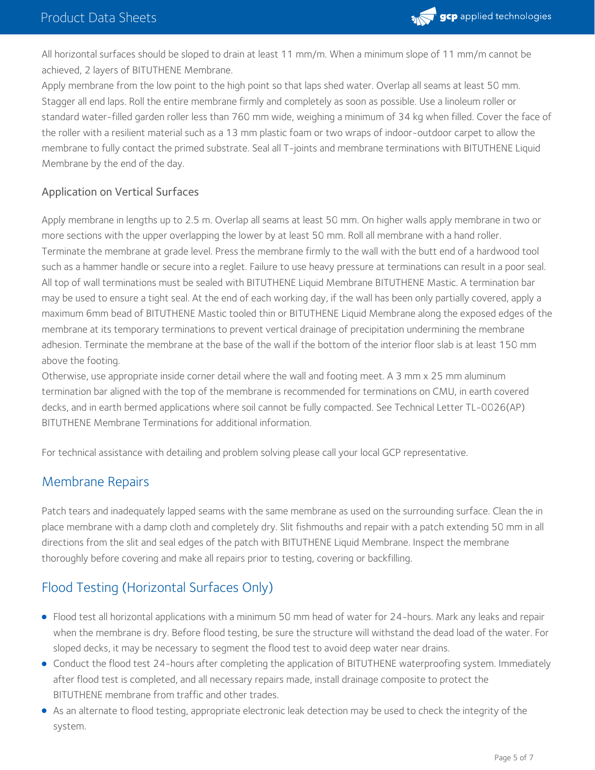

All horizontal surfaces should be sloped to drain at least 11 mm/m. When a minimum slope of 11 mm/m cannot be achieved, 2 layers of BITUTHENE Membrane.

Apply membrane from the low point to the high point so that laps shed water. Overlap all seams at least 50 mm. Stagger all end laps. Roll the entire membrane firmly and completely as soon as possible. Use a linoleum roller or standard water-filled garden roller less than 760 mm wide, weighing a minimum of 34 kg when filled. Cover the face of the roller with a resilient material such as a 13 mm plastic foam or two wraps of indoor-outdoor carpet to allow the membrane to fully contact the primed substrate. Seal all T-joints and membrane terminations with BITUTHENE Liquid Membrane by the end of the day.

#### Application on Vertical Surfaces

Apply membrane in lengths up to 2.5 m. Overlap all seams at least 50 mm. On higher walls apply membrane in two or more sections with the upper overlapping the lower by at least 50 mm. Roll all membrane with a hand roller. Terminate the membrane at grade level. Press the membrane firmly to the wall with the butt end of a hardwood tool such as a hammer handle or secure into a reglet. Failure to use heavy pressure at terminations can result in a poor seal. All top of wall terminations must be sealed with BITUTHENE Liquid Membrane BITUTHENE Mastic. A termination bar may be used to ensure a tight seal. At the end of each working day, if the wall has been only partially covered, apply a maximum 6mm bead of BITUTHENE Mastic tooled thin or BITUTHENE Liquid Membrane along the exposed edges of the membrane at its temporary terminations to prevent vertical drainage of precipitation undermining the membrane adhesion. Terminate the membrane at the base of the wall if the bottom of the interior floor slab is at least 150 mm above the footing.

Otherwise, use appropriate inside corner detail where the wall and footing meet. A 3 mm x 25 mm aluminum termination bar aligned with the top of the membrane is recommended for terminations on CMU, in earth covered decks, and in earth bermed applications where soil cannot be fully compacted. See Technical Letter TL-0026(AP) BITUTHENE Membrane Terminations for additional information.

For technical assistance with detailing and problem solving please call your local GCP representative.

## Membrane Repairs

Patch tears and inadequately lapped seams with the same membrane as used on the surrounding surface. Clean the in place membrane with a damp cloth and completely dry. Slit fishmouths and repair with a patch extending 50 mm in all directions from the slit and seal edges of the patch with BITUTHENE Liquid Membrane. Inspect the membrane thoroughly before covering and make all repairs prior to testing, covering or backfilling.

# Flood Testing (Horizontal Surfaces Only)

- Flood test all horizontal applications with a minimum 50 mm head of water for 24-hours. Mark any leaks and repair when the membrane is dry. Before flood testing, be sure the structure will withstand the dead load of the water. For sloped decks, it may be necessary to segment the flood test to avoid deep water near drains.
- Conduct the flood test 24-hours after completing the application of BITUTHENE waterproofing system. Immediately after flood test is completed, and all necessary repairs made, install drainage composite to protect the BITUTHENE membrane from traffic and other trades.
- As an alternate to flood testing, appropriate electronic leak detection may be used to check the integrity of the system.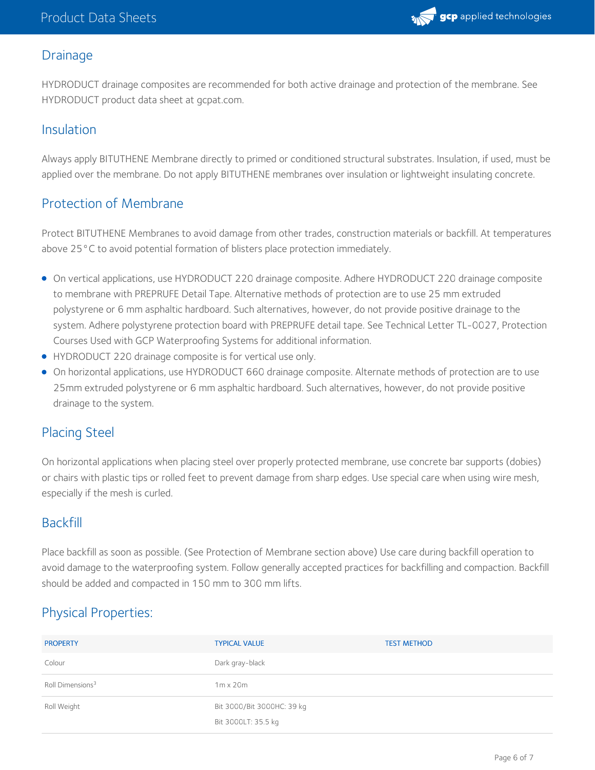

## **Drainage**

HYDRODUCT drainage composites are recommended for both active drainage and protection of the membrane. See HYDRODUCT product data sheet at gcpat.com.

## Insulation

Always apply BITUTHENE Membrane directly to primed or conditioned structural substrates. Insulation, if used, must be applied over the membrane. Do not apply BITUTHENE membranes over insulation or lightweight insulating concrete.

## Protection of Membrane

Protect BITUTHENE Membranes to avoid damage from other trades, construction materials or backfill. At temperatures above 25°C to avoid potential formation of blisters place protection immediately.

- On vertical applications, use HYDRODUCT 220 drainage composite. Adhere HYDRODUCT 220 drainage composite to membrane with PREPRUFE Detail Tape. Alternative methods of protection are to use 25 mm extruded polystyrene or 6 mm asphaltic hardboard. Such alternatives, however, do not provide positive drainage to the system. Adhere polystyrene protection board with PREPRUFE detail tape. See Technical Letter TL-0027, Protection Courses Used with GCP Waterproofing Systems for additional information.
- HYDRODUCT 220 drainage composite is for vertical use only.
- On horizontal applications, use HYDRODUCT 660 drainage composite. Alternate methods of protection are to use 25mm extruded polystyrene or 6 mm asphaltic hardboard. Such alternatives, however, do not provide positive drainage to the system.

## Placing Steel

On horizontal applications when placing steel over properly protected membrane, use concrete bar supports (dobies) or chairs with plastic tips or rolled feet to prevent damage from sharp edges. Use special care when using wire mesh, especially if the mesh is curled.

## Backfill

Place backfill as soon as possible. (See Protection of Membrane section above) Use care during backfill operation to avoid damage to the waterproofing system. Follow generally accepted practices for backfilling and compaction. Backfill should be added and compacted in 150 mm to 300 mm lifts.

# Physical Properties:

| <b>PROPERTY</b>              | <b>TYPICAL VALUE</b>                              | <b>TEST METHOD</b> |
|------------------------------|---------------------------------------------------|--------------------|
| Colour                       | Dark gray-black                                   |                    |
| Roll Dimensions <sup>3</sup> | $1m \times 20m$                                   |                    |
| Roll Weight                  | Bit 3000/Bit 3000HC: 39 kg<br>Bit 3000LT: 35.5 kg |                    |